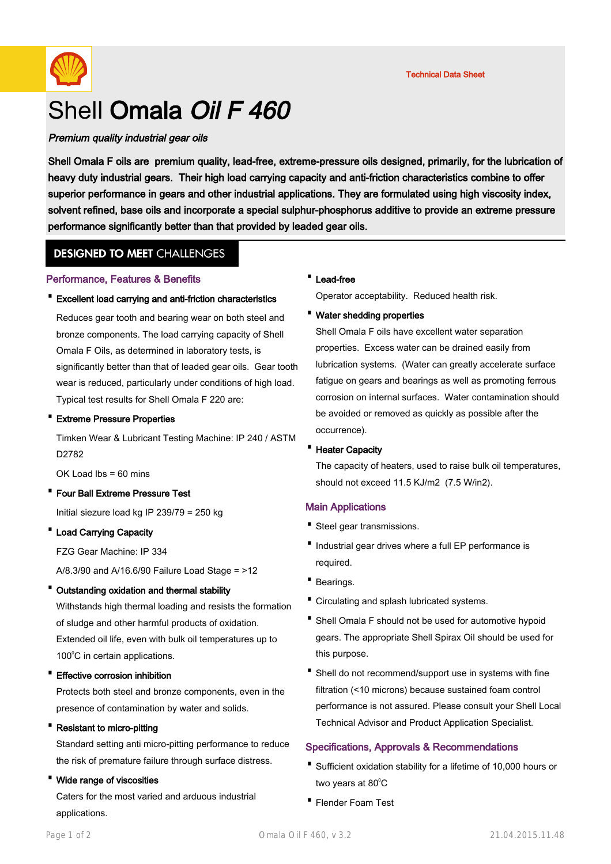

# Shell Omala Oil F 460

## Premium quality industrial gear oils

Shell Omala F oils are premium quality, lead-free, extreme-pressure oils designed, primarily, for the lubrication of heavy duty industrial gears. Their high load carrying capacity and anti-friction characteristics combine to offer superior performance in gears and other industrial applications. They are formulated using high viscosity index, solvent refined, base oils and incorporate a special sulphur-phosphorus additive to provide an extreme pressure performance significantly better than that provided by leaded gear oils.

# **DESIGNED TO MEET CHALLENGES**

#### Performance, Features & Benefits

#### · Excellent load carrying and anti-friction characteristics

Reduces gear tooth and bearing wear on both steel and bronze components. The load carrying capacity of Shell Omala F Oils, as determined in laboratory tests, is significantly better than that of leaded gear oils. Gear tooth wear is reduced, particularly under conditions of high load. Typical test results for Shell Omala F 220 are:

#### · Extreme Pressure Properties

Timken Wear & Lubricant Testing Machine: IP 240 / ASTM D2782

 $OK$  Load lbs =  $60$  mins

· Four Ball Extreme Pressure Test Initial siezure load kg IP 239/79 = 250 kg

#### · Load Carrying Capacity

FZG Gear Machine: IP 334

A/8.3/90 and A/16.6/90 Failure Load Stage = >12

#### · Outstanding oxidation and thermal stability

Withstands high thermal loading and resists the formation of sludge and other harmful products of oxidation. Extended oil life, even with bulk oil temperatures up to 100°C in certain applications.

## · Effective corrosion inhibition

Protects both steel and bronze components, even in the presence of contamination by water and solids.

## · Resistant to micro-pitting

Standard setting anti micro-pitting performance to reduce the risk of premature failure through surface distress.

#### · Wide range of viscosities

Caters for the most varied and arduous industrial applications.

#### · Lead-free

Operator acceptability. Reduced health risk.

#### · Water shedding properties

Shell Omala F oils have excellent water separation properties. Excess water can be drained easily from lubrication systems. (Water can greatly accelerate surface fatigue on gears and bearings as well as promoting ferrous corrosion on internal surfaces. Water contamination should be avoided or removed as quickly as possible after the occurrence).

#### · Heater Capacity

The capacity of heaters, used to raise bulk oil temperatures, should not exceed 11.5 KJ/m2 (7.5 W/in2).

#### Main Applications

- · Steel gear transmissions.
- Industrial gear drives where a full EP performance is required.
- · Bearings.
- · Circulating and splash lubricated systems.
- Shell Omala F should not be used for automotive hypoid gears. The appropriate Shell Spirax Oil should be used for this purpose.
- Shell do not recommend/support use in systems with fine filtration (<10 microns) because sustained foam control performance is not assured. Please consult your Shell Local Technical Advisor and Product Application Specialist.

# Specifications, Approvals & Recommendations

- Sufficient oxidation stability for a lifetime of 10,000 hours or two years at  $80^{\circ}$ C
- · Flender Foam Test